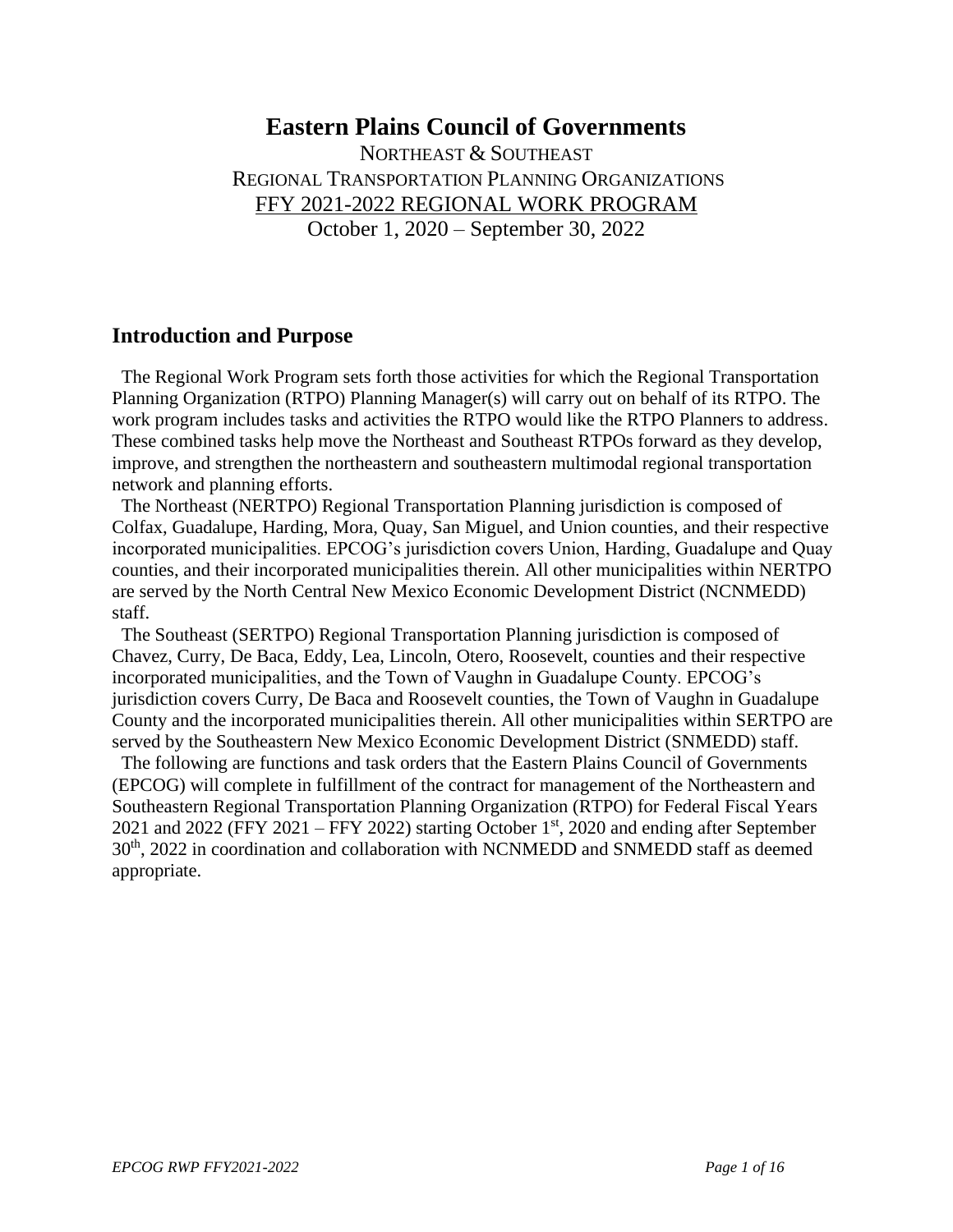## **Eastern Plains Council of Governments**

NORTHEAST & SOUTHEAST REGIONAL TRANSPORTATION PLANNING ORGANIZATIONS FFY 2021-2022 REGIONAL WORK PROGRAM October 1, 2020 – September 30, 2022

### **Introduction and Purpose**

 The Regional Work Program sets forth those activities for which the Regional Transportation Planning Organization (RTPO) Planning Manager(s) will carry out on behalf of its RTPO. The work program includes tasks and activities the RTPO would like the RTPO Planners to address. These combined tasks help move the Northeast and Southeast RTPOs forward as they develop, improve, and strengthen the northeastern and southeastern multimodal regional transportation network and planning efforts.

 The Northeast (NERTPO) Regional Transportation Planning jurisdiction is composed of Colfax, Guadalupe, Harding, Mora, Quay, San Miguel, and Union counties, and their respective incorporated municipalities. EPCOG's jurisdiction covers Union, Harding, Guadalupe and Quay counties, and their incorporated municipalities therein. All other municipalities within NERTPO are served by the North Central New Mexico Economic Development District (NCNMEDD) staff.

 The Southeast (SERTPO) Regional Transportation Planning jurisdiction is composed of Chavez, Curry, De Baca, Eddy, Lea, Lincoln, Otero, Roosevelt, counties and their respective incorporated municipalities, and the Town of Vaughn in Guadalupe County. EPCOG's jurisdiction covers Curry, De Baca and Roosevelt counties, the Town of Vaughn in Guadalupe County and the incorporated municipalities therein. All other municipalities within SERTPO are served by the Southeastern New Mexico Economic Development District (SNMEDD) staff.

 The following are functions and task orders that the Eastern Plains Council of Governments (EPCOG) will complete in fulfillment of the contract for management of the Northeastern and Southeastern Regional Transportation Planning Organization (RTPO) for Federal Fiscal Years 2021 and 2022 (FFY 2021 – FFY 2022) starting October  $1<sup>st</sup>$ , 2020 and ending after September 30th, 2022 in coordination and collaboration with NCNMEDD and SNMEDD staff as deemed appropriate.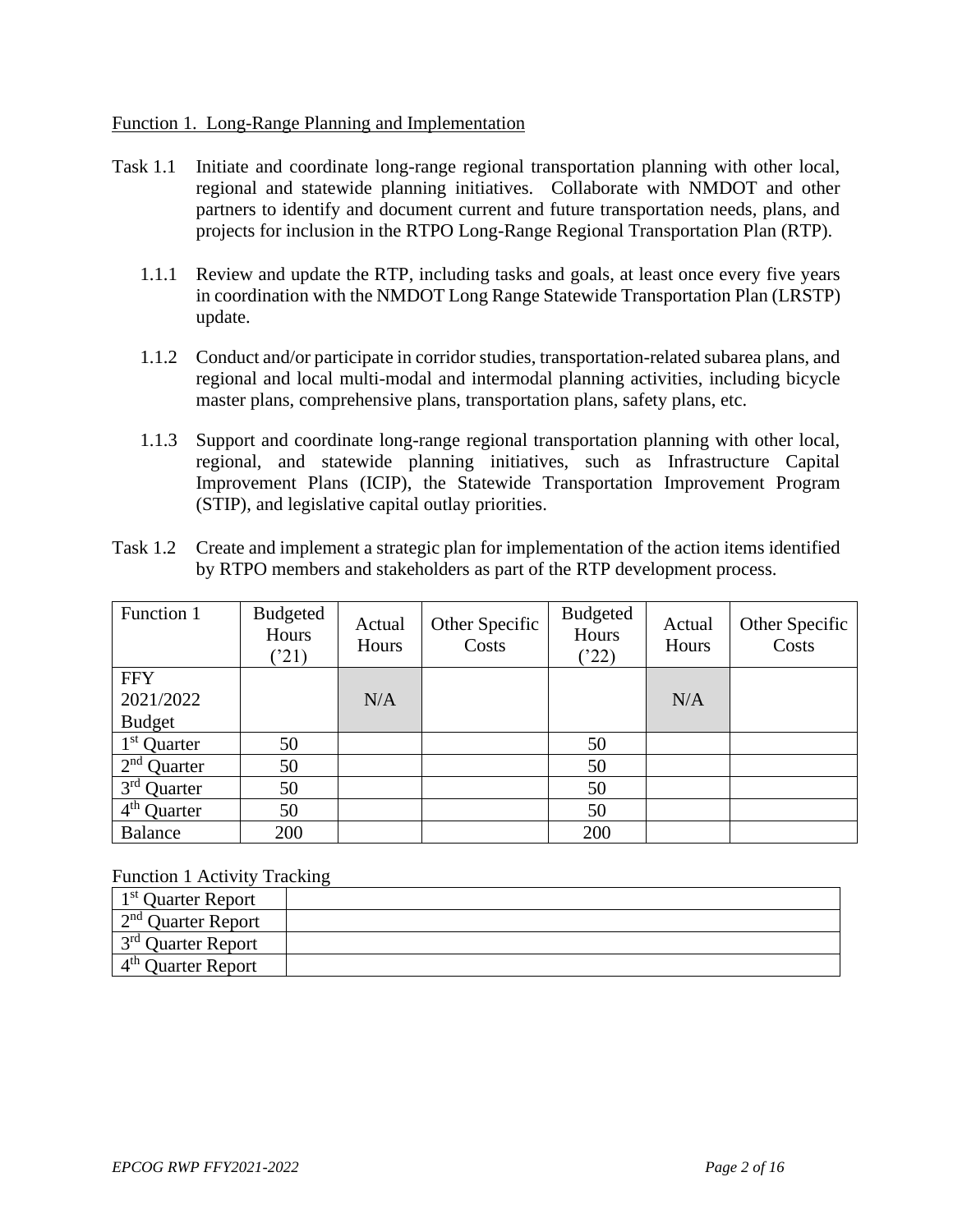#### Function 1. Long-Range Planning and Implementation

- Task 1.1 Initiate and coordinate long-range regional transportation planning with other local, regional and statewide planning initiatives. Collaborate with NMDOT and other partners to identify and document current and future transportation needs, plans, and projects for inclusion in the RTPO Long-Range Regional Transportation Plan (RTP).
	- 1.1.1 Review and update the RTP, including tasks and goals, at least once every five years in coordination with the NMDOT Long Range Statewide Transportation Plan (LRSTP) update.
	- 1.1.2 Conduct and/or participate in corridor studies, transportation-related subarea plans, and regional and local multi-modal and intermodal planning activities, including bicycle master plans, comprehensive plans, transportation plans, safety plans, etc.
	- 1.1.3 Support and coordinate long-range regional transportation planning with other local, regional, and statewide planning initiatives, such as Infrastructure Capital Improvement Plans (ICIP), the Statewide Transportation Improvement Program (STIP), and legislative capital outlay priorities.
- Task 1.2 Create and implement a strategic plan for implementation of the action items identified by RTPO members and stakeholders as part of the RTP development process.

| Function 1              | <b>Budgeted</b><br>Hours<br>(21) | Actual<br>Hours | Other Specific<br>Costs | <b>Budgeted</b><br>Hours<br>(22) | Actual<br>Hours | Other Specific<br>Costs |
|-------------------------|----------------------------------|-----------------|-------------------------|----------------------------------|-----------------|-------------------------|
| <b>FFY</b>              |                                  |                 |                         |                                  |                 |                         |
| 2021/2022               |                                  | N/A             |                         |                                  | N/A             |                         |
| <b>Budget</b>           |                                  |                 |                         |                                  |                 |                         |
| 1 <sup>st</sup> Quarter | 50                               |                 |                         | 50                               |                 |                         |
| $2nd$ Quarter           | 50                               |                 |                         | 50                               |                 |                         |
| $3rd$ Quarter           | 50                               |                 |                         | 50                               |                 |                         |
| $4th$ Quarter           | 50                               |                 |                         | 50                               |                 |                         |
| <b>Balance</b>          | 200                              |                 |                         | 200                              |                 |                         |

#### Function 1 Activity Tracking

| $1st$ Quarter Report         |  |
|------------------------------|--|
| $\sim 2^{nd}$ Quarter Report |  |
| $1^{3^{rd}}$ Quarter Report  |  |
| $4th$ Ouarter Report         |  |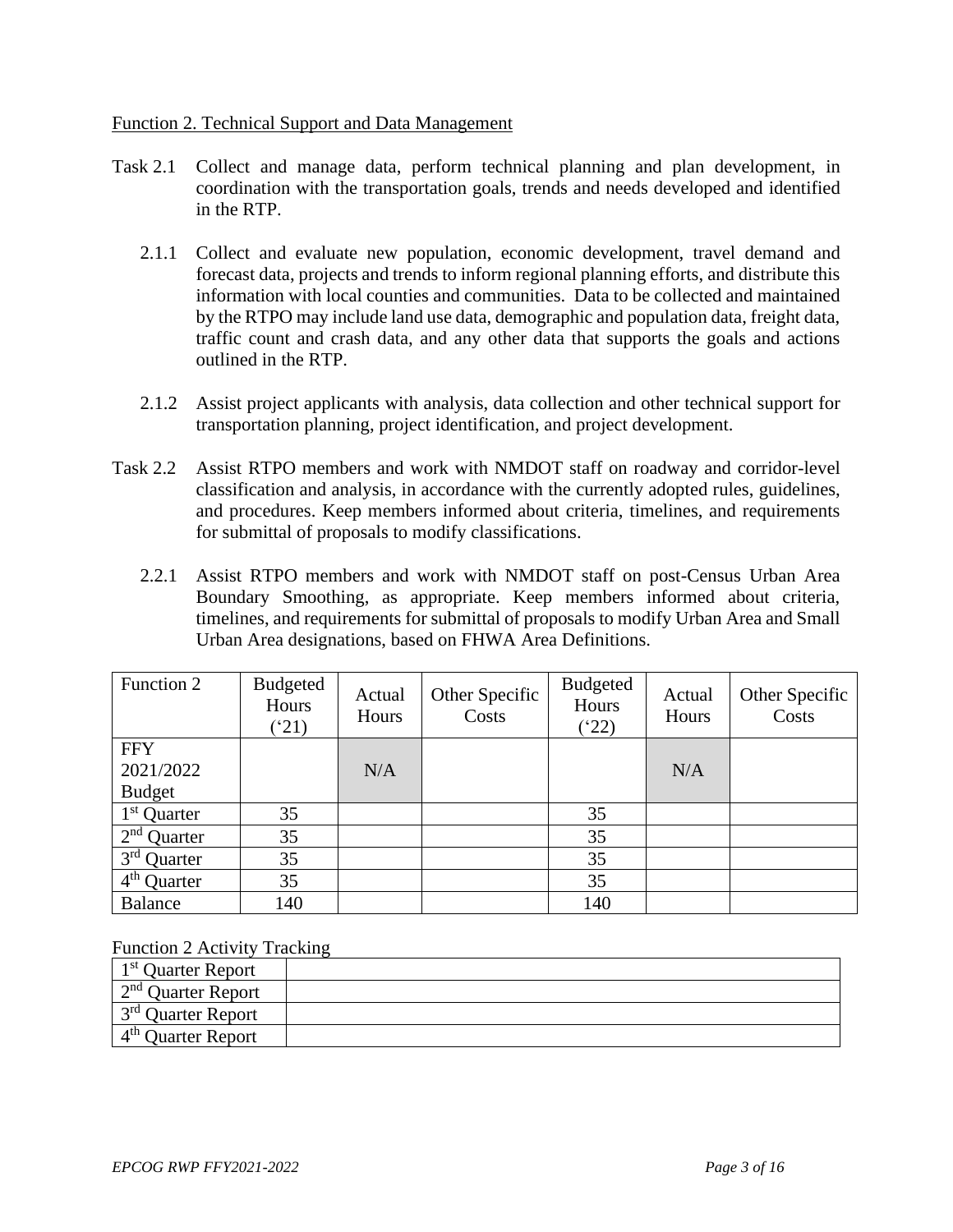#### Function 2. Technical Support and Data Management

- Task 2.1 Collect and manage data, perform technical planning and plan development, in coordination with the transportation goals, trends and needs developed and identified in the RTP.
	- 2.1.1 Collect and evaluate new population, economic development, travel demand and forecast data, projects and trends to inform regional planning efforts, and distribute this information with local counties and communities. Data to be collected and maintained by the RTPO may include land use data, demographic and population data, freight data, traffic count and crash data, and any other data that supports the goals and actions outlined in the RTP.
	- 2.1.2 Assist project applicants with analysis, data collection and other technical support for transportation planning, project identification, and project development.
- Task 2.2 Assist RTPO members and work with NMDOT staff on roadway and corridor-level classification and analysis, in accordance with the currently adopted rules, guidelines, and procedures. Keep members informed about criteria, timelines, and requirements for submittal of proposals to modify classifications.
	- 2.2.1 Assist RTPO members and work with NMDOT staff on post-Census Urban Area Boundary Smoothing, as appropriate. Keep members informed about criteria, timelines, and requirements for submittal of proposals to modify Urban Area and Small Urban Area designations, based on FHWA Area Definitions.

| Function 2     | <b>Budgeted</b><br>Hours<br>$^{\prime}21)$ | Actual<br>Hours | Other Specific<br>Costs | <b>Budgeted</b><br>Hours<br>$(^{4}22)$ | Actual<br>Hours | Other Specific<br>Costs |
|----------------|--------------------------------------------|-----------------|-------------------------|----------------------------------------|-----------------|-------------------------|
| <b>FFY</b>     |                                            |                 |                         |                                        |                 |                         |
| 2021/2022      |                                            | N/A             |                         |                                        | N/A             |                         |
| <b>Budget</b>  |                                            |                 |                         |                                        |                 |                         |
| $1st$ Quarter  | 35                                         |                 |                         | 35                                     |                 |                         |
| $2nd$ Quarter  | 35                                         |                 |                         | 35                                     |                 |                         |
| $3rd$ Quarter  | 35                                         |                 |                         | 35                                     |                 |                         |
| $4th$ Quarter  | 35                                         |                 |                         | 35                                     |                 |                         |
| <b>Balance</b> | 140                                        |                 |                         | 140                                    |                 |                         |

Function 2 Activity Tracking

| 1 <sup>st</sup> Quarter Report |  |
|--------------------------------|--|
| $\sim 2^{nd}$ Quarter Report   |  |
| $1^{3^{rd}}$ Quarter Report    |  |
| 4 <sup>th</sup> Quarter Report |  |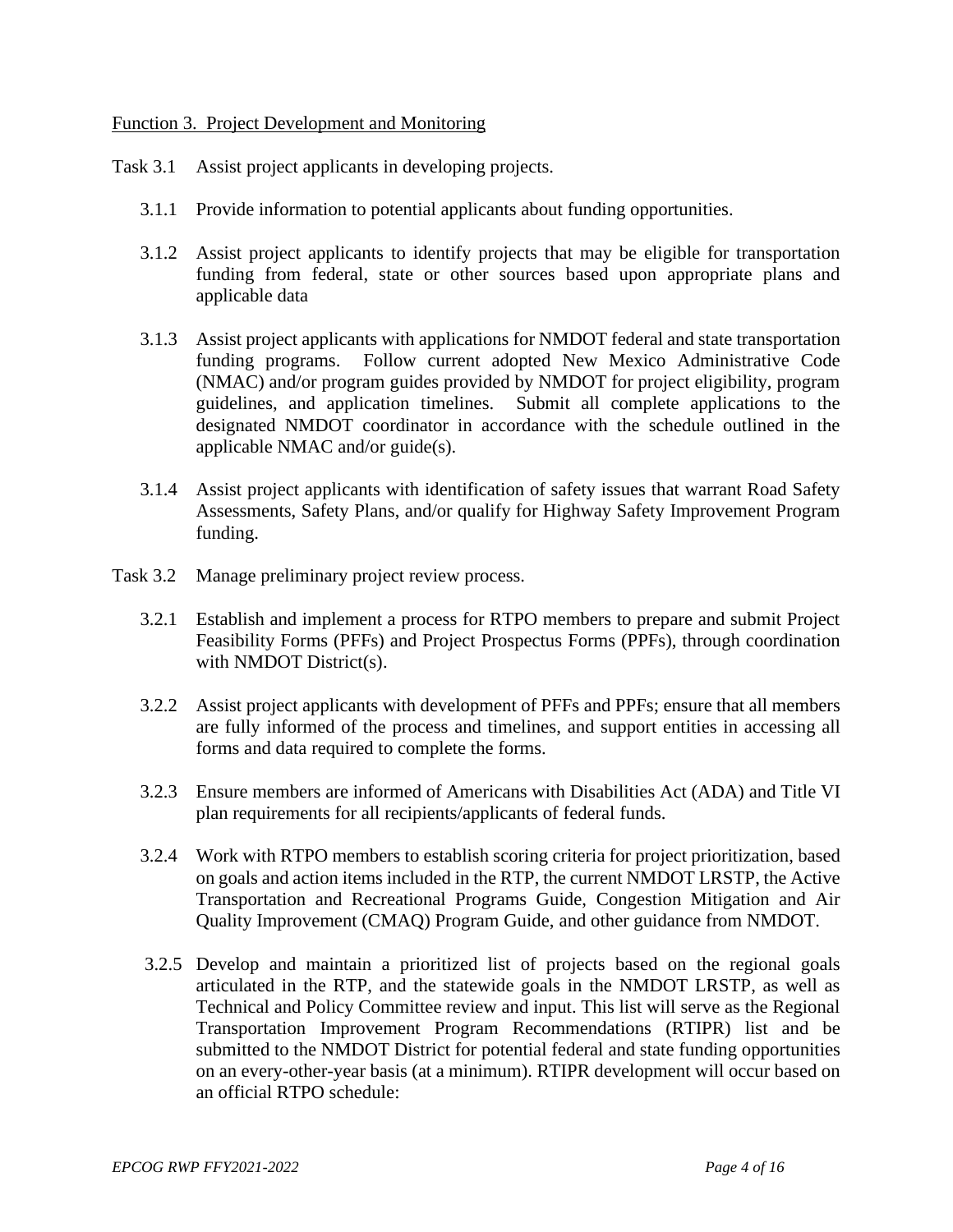#### Function 3. Project Development and Monitoring

Task 3.1 Assist project applicants in developing projects.

- 3.1.1 Provide information to potential applicants about funding opportunities.
- 3.1.2 Assist project applicants to identify projects that may be eligible for transportation funding from federal, state or other sources based upon appropriate plans and applicable data
- 3.1.3 Assist project applicants with applications for NMDOT federal and state transportation funding programs. Follow current adopted New Mexico Administrative Code (NMAC) and/or program guides provided by NMDOT for project eligibility, program guidelines, and application timelines. Submit all complete applications to the designated NMDOT coordinator in accordance with the schedule outlined in the applicable NMAC and/or guide(s).
- 3.1.4 Assist project applicants with identification of safety issues that warrant Road Safety Assessments, Safety Plans, and/or qualify for Highway Safety Improvement Program funding.
- Task 3.2 Manage preliminary project review process.
	- 3.2.1 Establish and implement a process for RTPO members to prepare and submit Project Feasibility Forms (PFFs) and Project Prospectus Forms (PPFs), through coordination with NMDOT District(s).
	- 3.2.2 Assist project applicants with development of PFFs and PPFs; ensure that all members are fully informed of the process and timelines, and support entities in accessing all forms and data required to complete the forms.
	- 3.2.3 Ensure members are informed of Americans with Disabilities Act (ADA) and Title VI plan requirements for all recipients/applicants of federal funds.
	- 3.2.4 Work with RTPO members to establish scoring criteria for project prioritization, based on goals and action items included in the RTP, the current NMDOT LRSTP, the Active Transportation and Recreational Programs Guide, Congestion Mitigation and Air Quality Improvement (CMAQ) Program Guide, and other guidance from NMDOT.
	- 3.2.5 Develop and maintain a prioritized list of projects based on the regional goals articulated in the RTP, and the statewide goals in the NMDOT LRSTP, as well as Technical and Policy Committee review and input. This list will serve as the Regional Transportation Improvement Program Recommendations (RTIPR) list and be submitted to the NMDOT District for potential federal and state funding opportunities on an every-other-year basis (at a minimum). RTIPR development will occur based on an official RTPO schedule: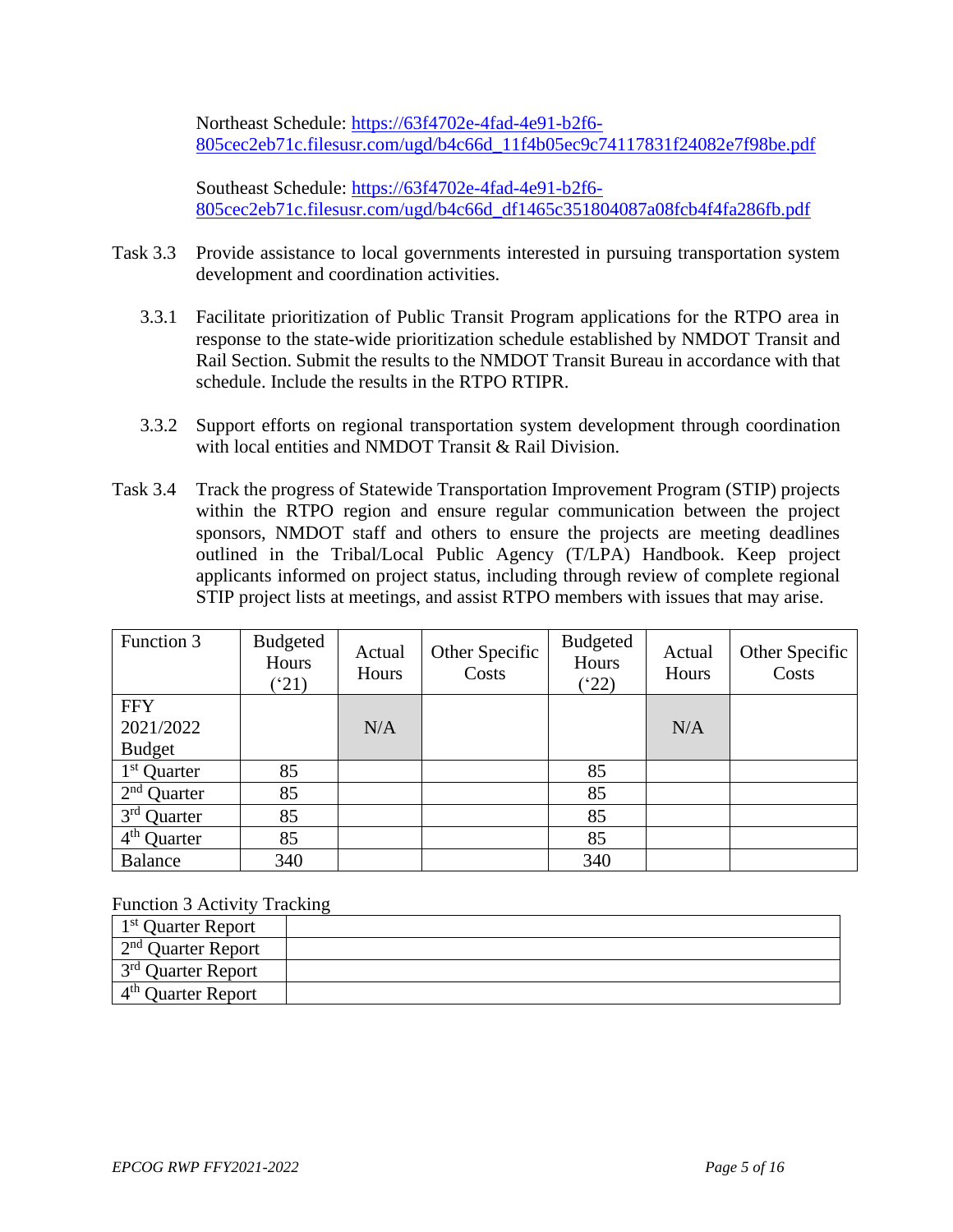Northeast Schedule: [https://63f4702e-4fad-4e91-b2f6-](https://63f4702e-4fad-4e91-b2f6-805cec2eb71c.filesusr.com/ugd/b4c66d_11f4b05ec9c74117831f24082e7f98be.pdf) [805cec2eb71c.filesusr.com/ugd/b4c66d\\_11f4b05ec9c74117831f24082e7f98be.pdf](https://63f4702e-4fad-4e91-b2f6-805cec2eb71c.filesusr.com/ugd/b4c66d_11f4b05ec9c74117831f24082e7f98be.pdf)

Southeast Schedule: [https://63f4702e-4fad-4e91-b2f6-](https://63f4702e-4fad-4e91-b2f6-805cec2eb71c.filesusr.com/ugd/b4c66d_df1465c351804087a08fcb4f4fa286fb.pdf) [805cec2eb71c.filesusr.com/ugd/b4c66d\\_df1465c351804087a08fcb4f4fa286fb.pdf](https://63f4702e-4fad-4e91-b2f6-805cec2eb71c.filesusr.com/ugd/b4c66d_df1465c351804087a08fcb4f4fa286fb.pdf)

- Task 3.3 Provide assistance to local governments interested in pursuing transportation system development and coordination activities.
	- 3.3.1 Facilitate prioritization of Public Transit Program applications for the RTPO area in response to the state-wide prioritization schedule established by NMDOT Transit and Rail Section. Submit the results to the NMDOT Transit Bureau in accordance with that schedule. Include the results in the RTPO RTIPR.
	- 3.3.2 Support efforts on regional transportation system development through coordination with local entities and NMDOT Transit & Rail Division.
- Task 3.4 Track the progress of Statewide Transportation Improvement Program (STIP) projects within the RTPO region and ensure regular communication between the project sponsors, NMDOT staff and others to ensure the projects are meeting deadlines outlined in the Tribal/Local Public Agency (T/LPA) Handbook. Keep project applicants informed on project status, including through review of complete regional STIP project lists at meetings, and assist RTPO members with issues that may arise.

| Function 3                         | <b>Budgeted</b><br>Hours<br>$^{\prime}21)$ | Actual<br>Hours | Other Specific<br>Costs | <b>Budgeted</b><br>Hours<br>(22) | Actual<br>Hours | Other Specific<br>Costs |
|------------------------------------|--------------------------------------------|-----------------|-------------------------|----------------------------------|-----------------|-------------------------|
| <b>FFY</b>                         |                                            |                 |                         |                                  |                 |                         |
| 2021/2022                          |                                            | N/A             |                         |                                  | N/A             |                         |
| <b>Budget</b>                      |                                            |                 |                         |                                  |                 |                         |
| $1st$ Quarter                      | 85                                         |                 |                         | 85                               |                 |                         |
| $2nd$ Quarter                      | 85                                         |                 |                         | 85                               |                 |                         |
| $3rd$ Quarter                      | 85                                         |                 |                         | 85                               |                 |                         |
| $\overline{4}^{\text{th}}$ Quarter | 85                                         |                 |                         | 85                               |                 |                         |
| Balance                            | 340                                        |                 |                         | 340                              |                 |                         |

Function 3 Activity Tracking

| 1 <sup>st</sup> Quarter Report |  |
|--------------------------------|--|
| $2nd$ Ouarter Report           |  |
| 3 <sup>rd</sup> Quarter Report |  |
| $4th$ Quarter Report           |  |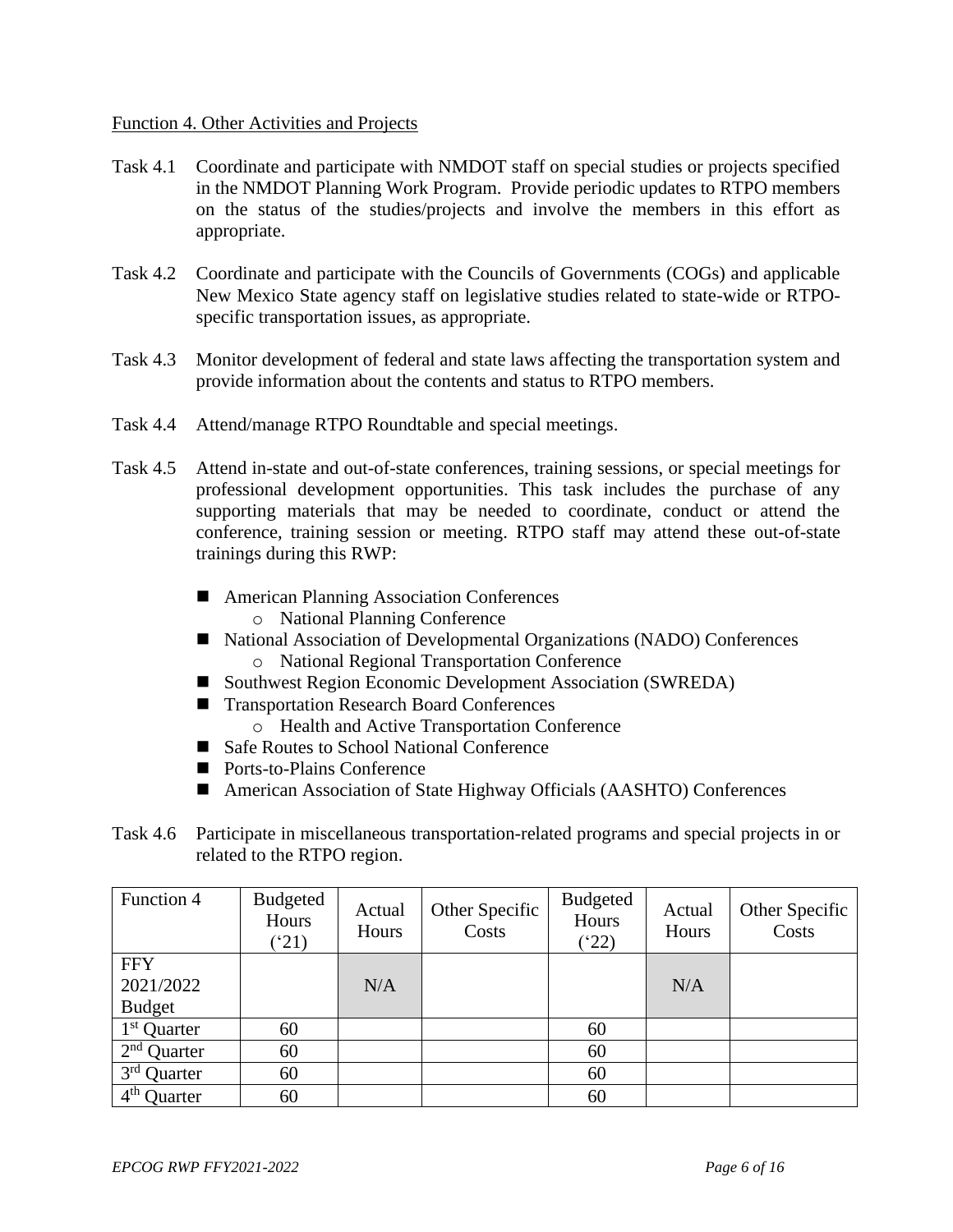#### Function 4. Other Activities and Projects

- Task 4.1 Coordinate and participate with NMDOT staff on special studies or projects specified in the NMDOT Planning Work Program. Provide periodic updates to RTPO members on the status of the studies/projects and involve the members in this effort as appropriate.
- Task 4.2 Coordinate and participate with the Councils of Governments (COGs) and applicable New Mexico State agency staff on legislative studies related to state-wide or RTPOspecific transportation issues, as appropriate.
- Task 4.3 Monitor development of federal and state laws affecting the transportation system and provide information about the contents and status to RTPO members.
- Task 4.4 Attend/manage RTPO Roundtable and special meetings.
- Task 4.5 Attend in-state and out-of-state conferences, training sessions, or special meetings for professional development opportunities. This task includes the purchase of any supporting materials that may be needed to coordinate, conduct or attend the conference, training session or meeting. RTPO staff may attend these out-of-state trainings during this RWP:
	- American Planning Association Conferences
		- o National Planning Conference
	- National Association of Developmental Organizations (NADO) Conferences o National Regional Transportation Conference
	- Southwest Region Economic Development Association (SWREDA)
	- Transportation Research Board Conferences
		- o Health and Active Transportation Conference
	- Safe Routes to School National Conference
	- Ports-to-Plains Conference
	- American Association of State Highway Officials (AASHTO) Conferences
- Task 4.6 Participate in miscellaneous transportation-related programs and special projects in or related to the RTPO region.

| Function 4                        | Budgeted<br>Hours<br>(21) | Actual<br>Hours | Other Specific<br>Costs | <b>Budgeted</b><br>Hours<br>$(^{4}22)$ | Actual<br>Hours | Other Specific<br>Costs |
|-----------------------------------|---------------------------|-----------------|-------------------------|----------------------------------------|-----------------|-------------------------|
| <b>FFY</b><br>2021/2022           |                           | N/A             |                         |                                        | N/A             |                         |
| <b>Budget</b>                     |                           |                 |                         |                                        |                 |                         |
| $1st$ Quarter                     | 60                        |                 |                         | 60                                     |                 |                         |
| $2nd$ Quarter                     | 60                        |                 |                         | 60                                     |                 |                         |
| 3 <sup>rd</sup> Quarter           | 60                        |                 |                         | 60                                     |                 |                         |
| $4^{\text{th}}$<br><b>Quarter</b> | 60                        |                 |                         | 60                                     |                 |                         |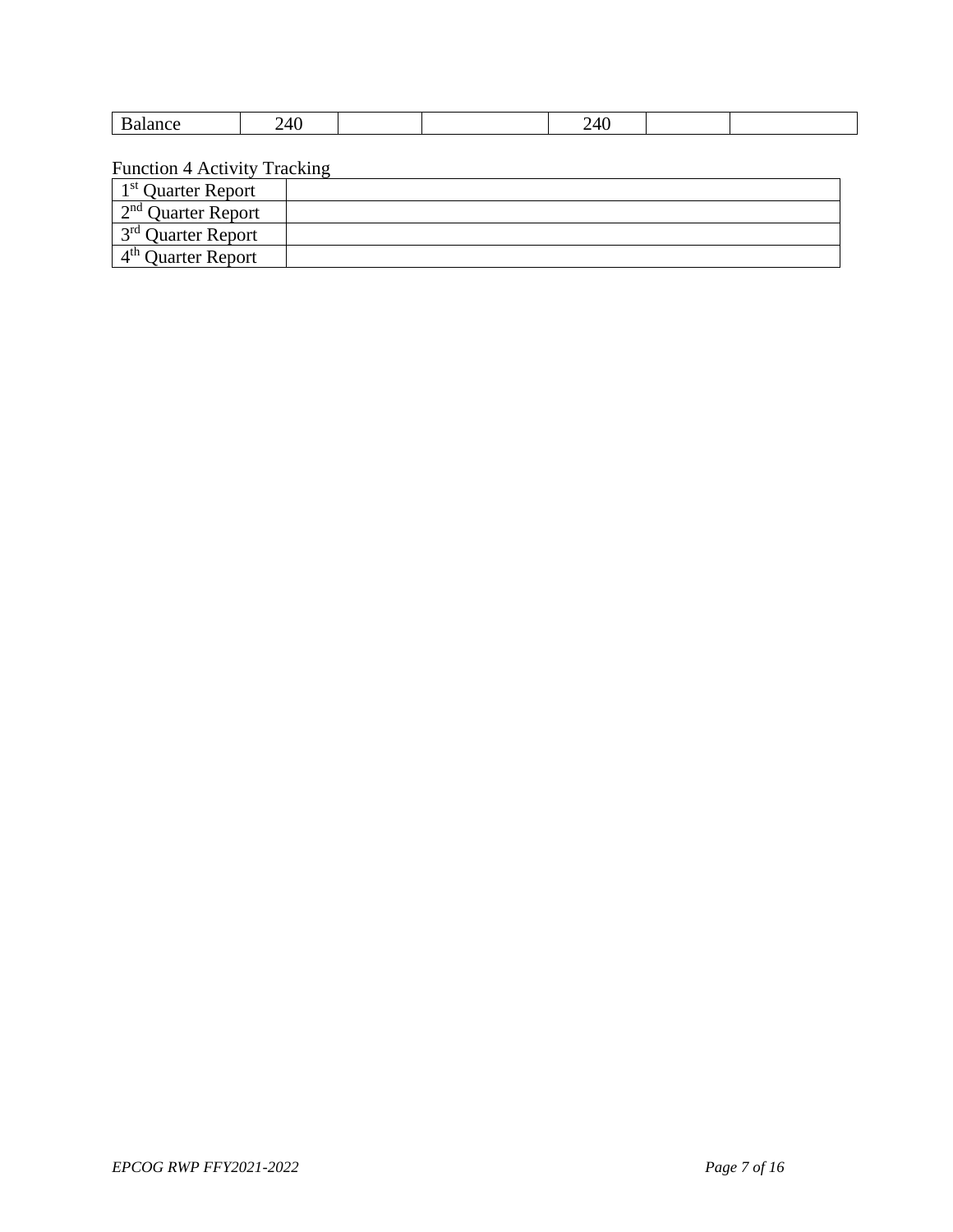| . | ᠇៶<br>-<br>__ |  | __ |  |
|---|---------------|--|----|--|

Function 4 Activity Tracking

| 1 <sup>st</sup> Quarter Report |  |
|--------------------------------|--|
| $2nd$ Quarter Report           |  |
| $1^{3^{rd}}$ Quarter Report    |  |
| $4th$ Ouarter Report           |  |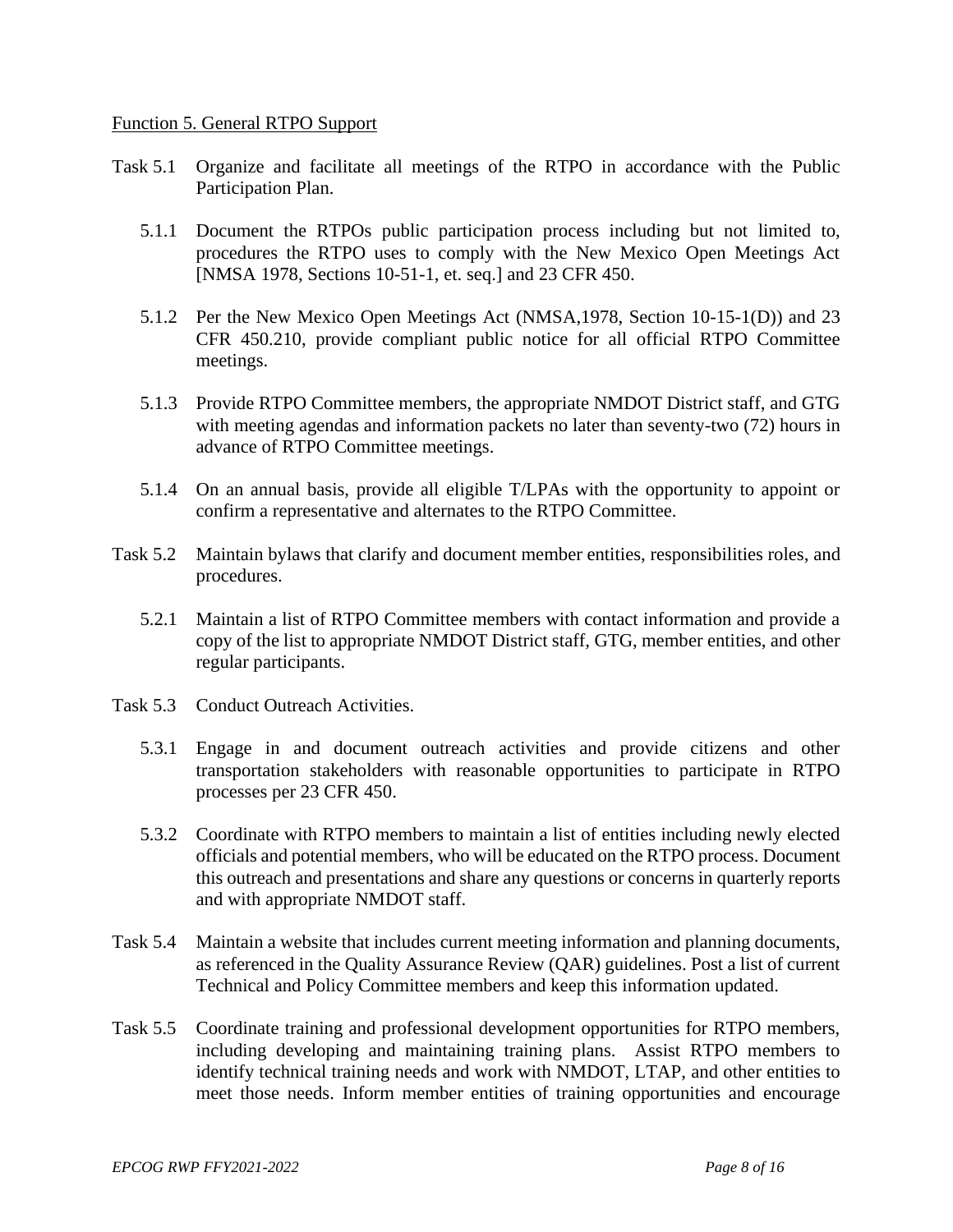#### Function 5. General RTPO Support

- Task 5.1 Organize and facilitate all meetings of the RTPO in accordance with the Public Participation Plan.
	- 5.1.1 Document the RTPOs public participation process including but not limited to, procedures the RTPO uses to comply with the New Mexico Open Meetings Act [NMSA 1978, Sections 10-51-1, et. seq.] and 23 CFR 450.
	- 5.1.2 Per the New Mexico Open Meetings Act (NMSA,1978, Section 10-15-1(D)) and 23 CFR 450.210, provide compliant public notice for all official RTPO Committee meetings.
	- 5.1.3 Provide RTPO Committee members, the appropriate NMDOT District staff, and GTG with meeting agendas and information packets no later than seventy-two (72) hours in advance of RTPO Committee meetings.
	- 5.1.4 On an annual basis, provide all eligible T/LPAs with the opportunity to appoint or confirm a representative and alternates to the RTPO Committee.
- Task 5.2 Maintain bylaws that clarify and document member entities, responsibilities roles, and procedures.
	- 5.2.1 Maintain a list of RTPO Committee members with contact information and provide a copy of the list to appropriate NMDOT District staff, GTG, member entities, and other regular participants.
- Task 5.3 Conduct Outreach Activities.
	- 5.3.1 Engage in and document outreach activities and provide citizens and other transportation stakeholders with reasonable opportunities to participate in RTPO processes per 23 CFR 450.
	- 5.3.2 Coordinate with RTPO members to maintain a list of entities including newly elected officials and potential members, who will be educated on the RTPO process. Document this outreach and presentations and share any questions or concerns in quarterly reports and with appropriate NMDOT staff.
- Task 5.4 Maintain a website that includes current meeting information and planning documents, as referenced in the Quality Assurance Review (QAR) guidelines. Post a list of current Technical and Policy Committee members and keep this information updated.
- Task 5.5 Coordinate training and professional development opportunities for RTPO members, including developing and maintaining training plans. Assist RTPO members to identify technical training needs and work with NMDOT, LTAP, and other entities to meet those needs. Inform member entities of training opportunities and encourage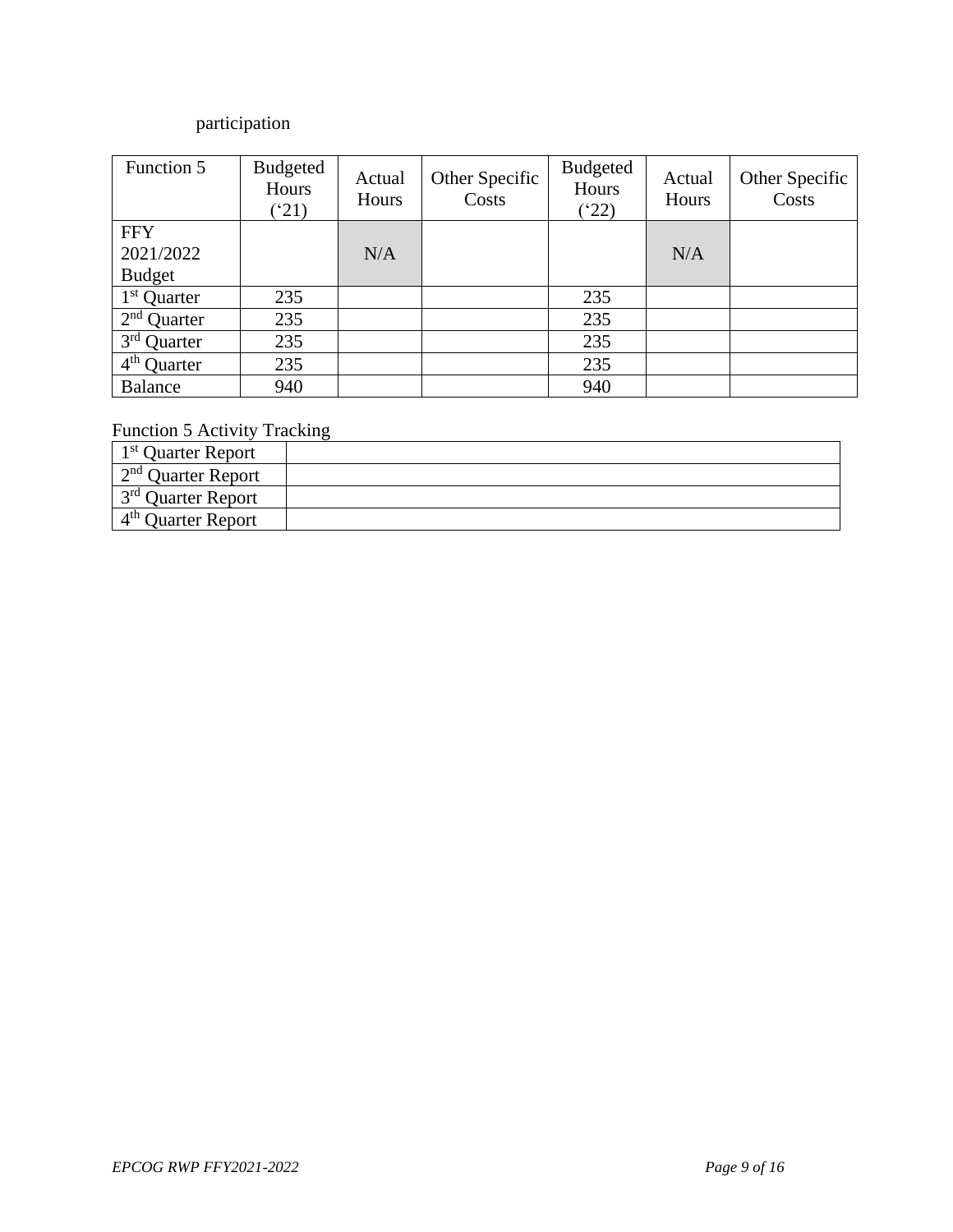# participation

| Function 5              | Budgeted<br>Hours<br>$^{\prime}21)$ | Actual<br>Hours | Other Specific<br>Costs | <b>Budgeted</b><br>Hours<br>(22) | Actual<br>Hours | Other Specific<br>Costs |
|-------------------------|-------------------------------------|-----------------|-------------------------|----------------------------------|-----------------|-------------------------|
| <b>FFY</b>              |                                     |                 |                         |                                  |                 |                         |
| 2021/2022               |                                     | N/A             |                         |                                  | N/A             |                         |
| <b>Budget</b>           |                                     |                 |                         |                                  |                 |                         |
| 1 <sup>st</sup> Quarter | 235                                 |                 |                         | 235                              |                 |                         |
| $2nd$ Quarter           | 235                                 |                 |                         | 235                              |                 |                         |
| $3rd$ Quarter           | 235                                 |                 |                         | 235                              |                 |                         |
| $4th$ Quarter           | 235                                 |                 |                         | 235                              |                 |                         |
| <b>Balance</b>          | 940                                 |                 |                         | 940                              |                 |                         |

## Function 5 Activity Tracking

| 1 <sup>st</sup> Quarter Report |  |
|--------------------------------|--|
| $\sim 2^{nd}$ Quarter Report   |  |
| $1^{3^{rd}}$ Quarter Report    |  |
| $4th$ Ouarter Report           |  |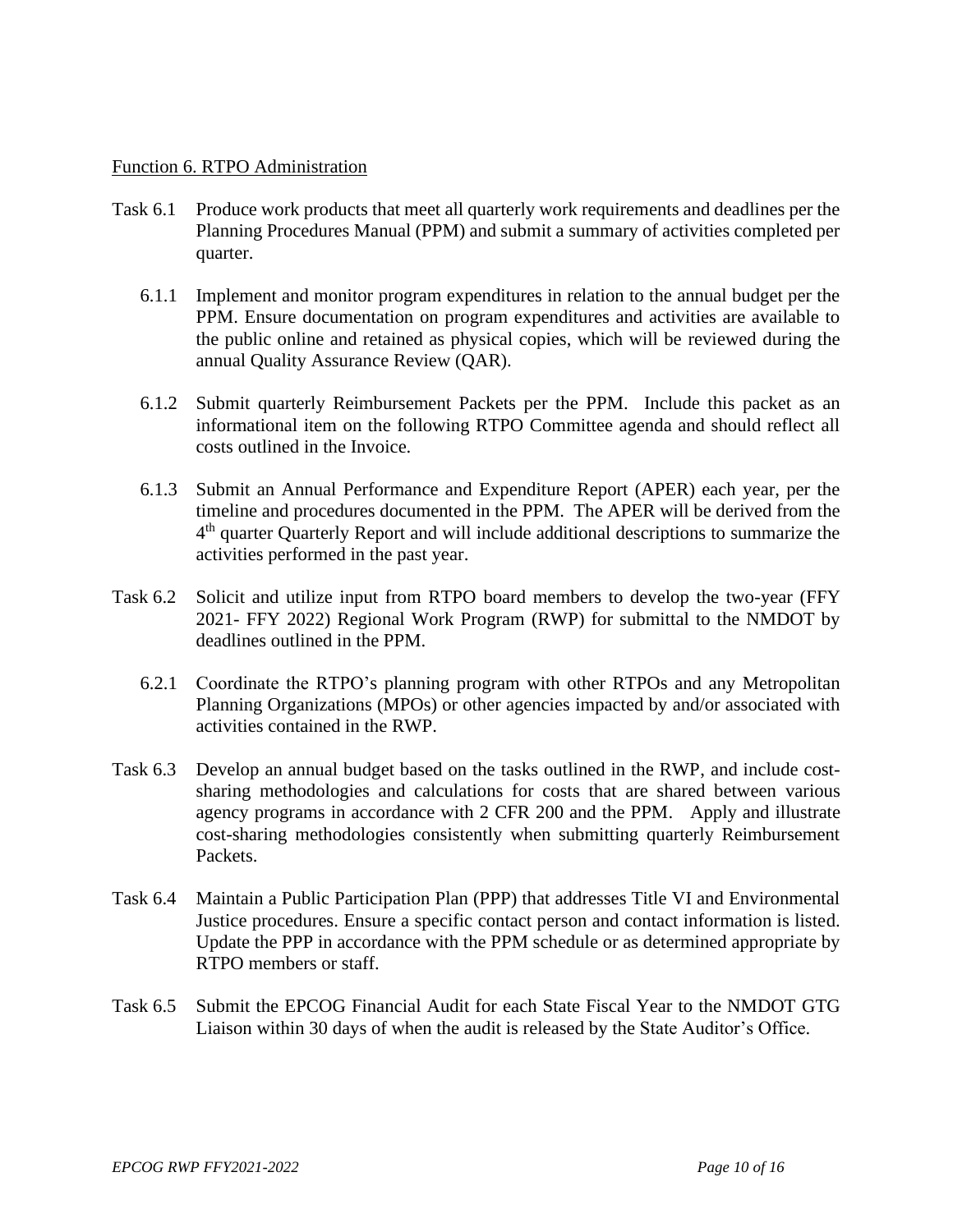#### Function 6. RTPO Administration

- Task 6.1 Produce work products that meet all quarterly work requirements and deadlines per the Planning Procedures Manual (PPM) and submit a summary of activities completed per quarter.
	- 6.1.1 Implement and monitor program expenditures in relation to the annual budget per the PPM. Ensure documentation on program expenditures and activities are available to the public online and retained as physical copies, which will be reviewed during the annual Quality Assurance Review (QAR).
	- 6.1.2 Submit quarterly Reimbursement Packets per the PPM. Include this packet as an informational item on the following RTPO Committee agenda and should reflect all costs outlined in the Invoice.
	- 6.1.3 Submit an Annual Performance and Expenditure Report (APER) each year, per the timeline and procedures documented in the PPM. The APER will be derived from the 4<sup>th</sup> quarter Quarterly Report and will include additional descriptions to summarize the activities performed in the past year.
- Task 6.2 Solicit and utilize input from RTPO board members to develop the two-year (FFY 2021- FFY 2022) Regional Work Program (RWP) for submittal to the NMDOT by deadlines outlined in the PPM.
	- 6.2.1 Coordinate the RTPO's planning program with other RTPOs and any Metropolitan Planning Organizations (MPOs) or other agencies impacted by and/or associated with activities contained in the RWP.
- Task 6.3 Develop an annual budget based on the tasks outlined in the RWP, and include costsharing methodologies and calculations for costs that are shared between various agency programs in accordance with 2 CFR 200 and the PPM. Apply and illustrate cost-sharing methodologies consistently when submitting quarterly Reimbursement Packets.
- Task 6.4 Maintain a Public Participation Plan (PPP) that addresses Title VI and Environmental Justice procedures. Ensure a specific contact person and contact information is listed. Update the PPP in accordance with the PPM schedule or as determined appropriate by RTPO members or staff.
- Task 6.5 Submit the EPCOG Financial Audit for each State Fiscal Year to the NMDOT GTG Liaison within 30 days of when the audit is released by the State Auditor's Office.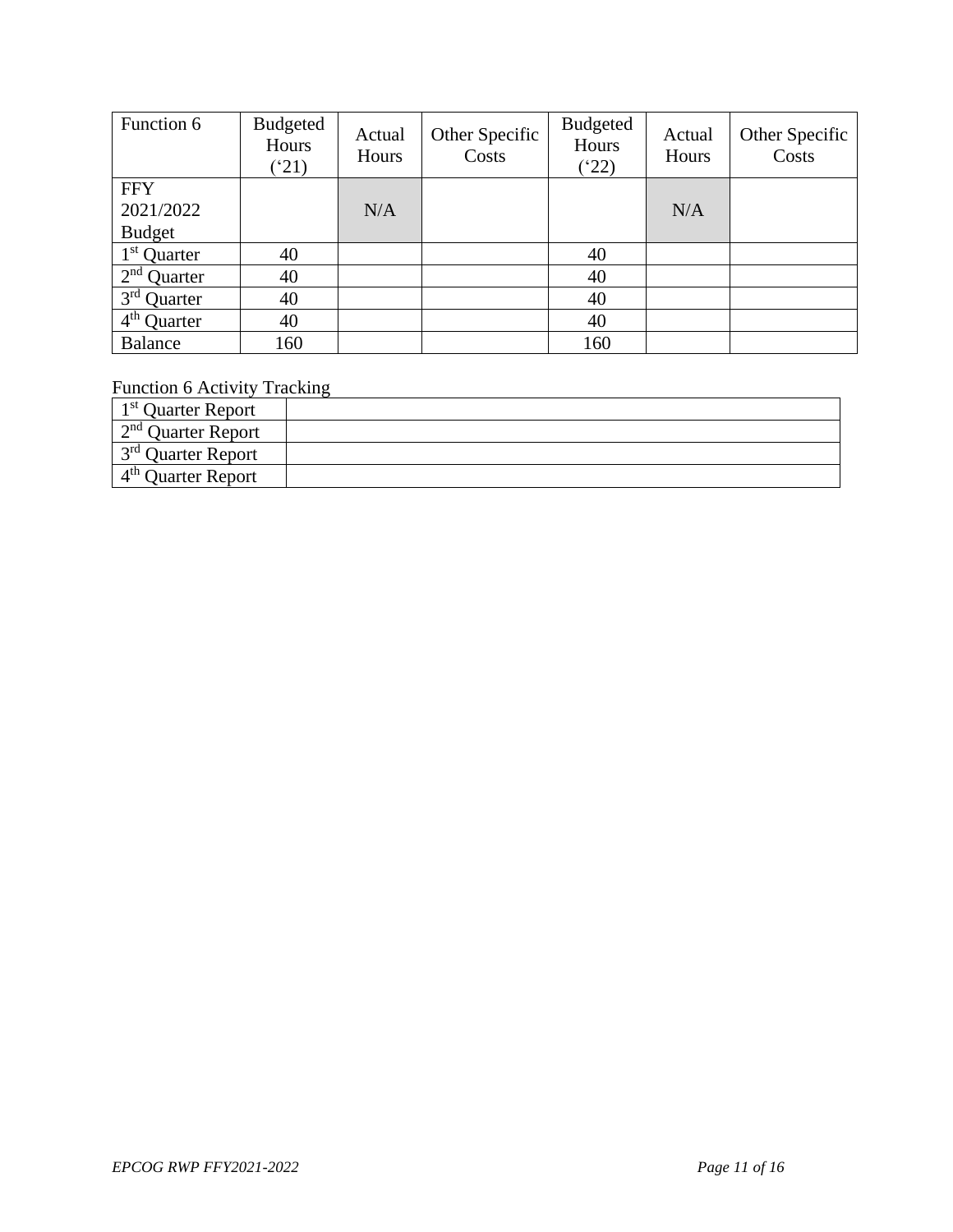| Function 6              | Budgeted<br>Hours<br>$^{\prime}21)$ | Actual<br>Hours | Other Specific<br>Costs | <b>Budgeted</b><br>Hours<br>$(^{4}22)$ | Actual<br>Hours | Other Specific<br>Costs |
|-------------------------|-------------------------------------|-----------------|-------------------------|----------------------------------------|-----------------|-------------------------|
| <b>FFY</b>              |                                     |                 |                         |                                        |                 |                         |
| 2021/2022               |                                     | N/A             |                         |                                        | N/A             |                         |
| <b>Budget</b>           |                                     |                 |                         |                                        |                 |                         |
| $1st$ Quarter           | 40                                  |                 |                         | 40                                     |                 |                         |
| $2nd$ Quarter           | 40                                  |                 |                         | 40                                     |                 |                         |
| 3 <sup>rd</sup> Quarter | 40                                  |                 |                         | 40                                     |                 |                         |
| $4th$ Quarter           | 40                                  |                 |                         | 40                                     |                 |                         |
| <b>Balance</b>          | 160                                 |                 |                         | 160                                    |                 |                         |

Function 6 Activity Tracking

| 1 <sup>st</sup> Quarter Report |  |
|--------------------------------|--|
| $2nd$ Ouarter Report           |  |
| 3 <sup>rd</sup> Ouarter Report |  |
| $4th$ Ouarter Report           |  |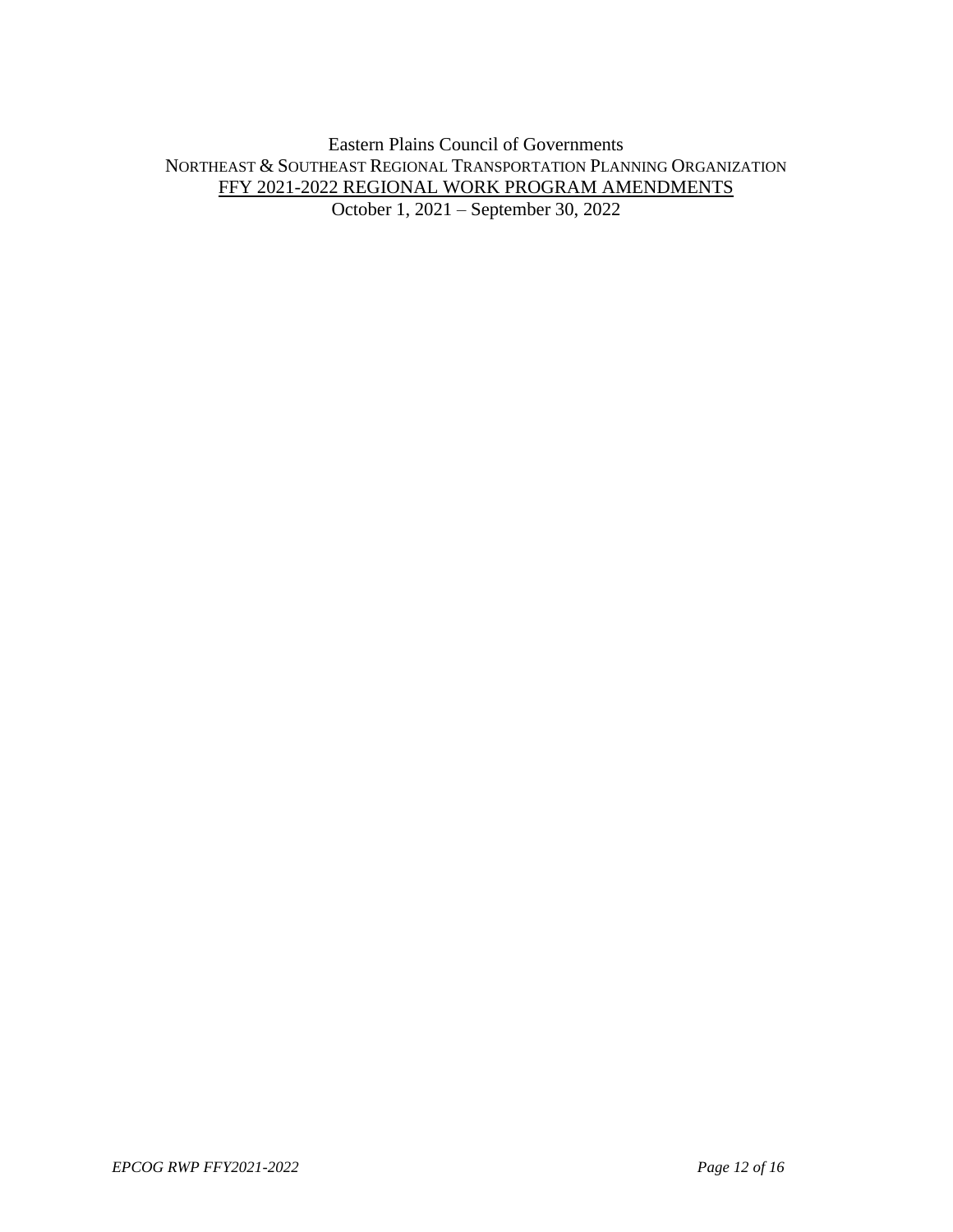Eastern Plains Council of Governments NORTHEAST & SOUTHEAST REGIONAL TRANSPORTATION PLANNING ORGANIZATION FFY 2021-2022 REGIONAL WORK PROGRAM AMENDMENTS October 1, 2021 – September 30, 2022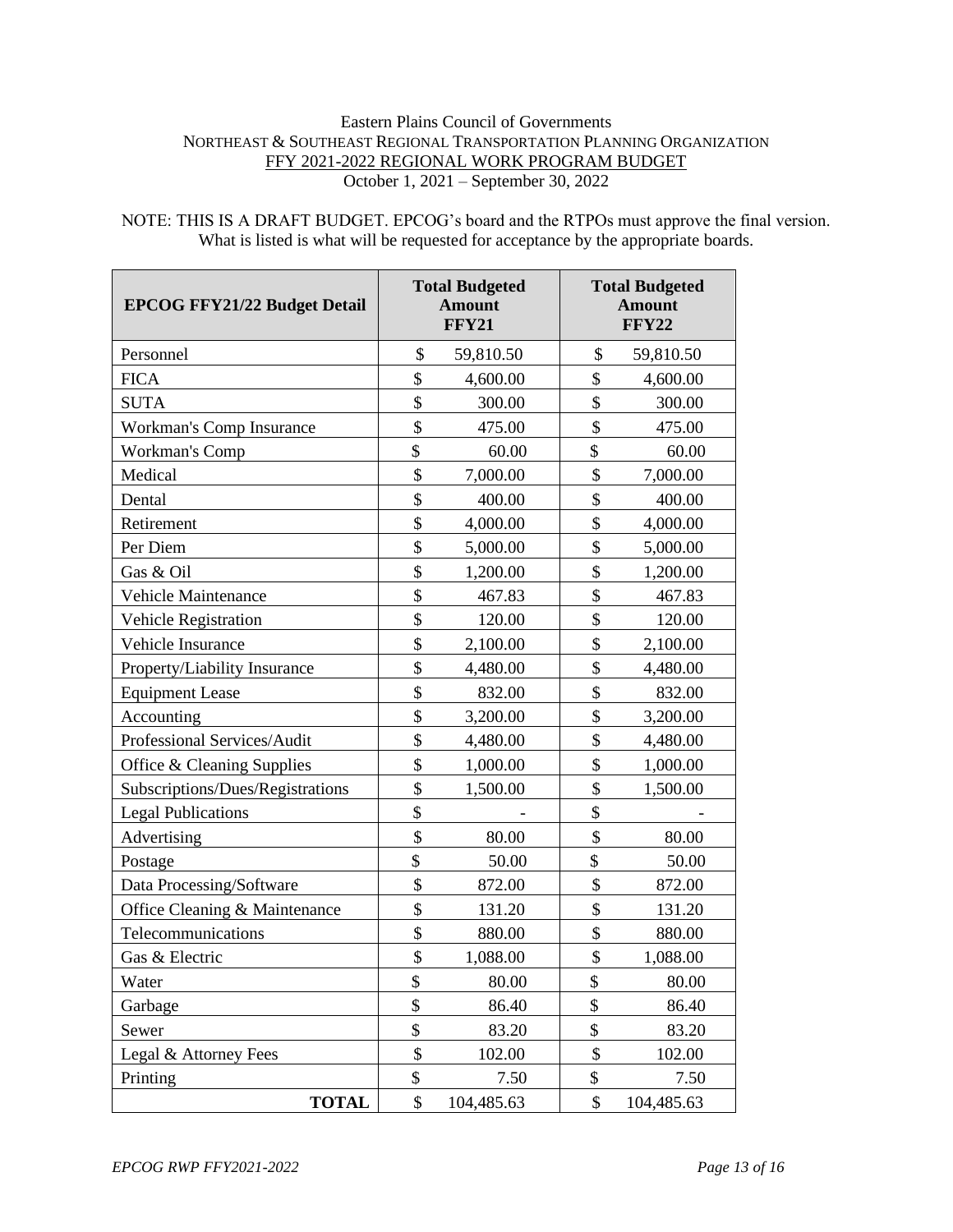#### Eastern Plains Council of Governments NORTHEAST & SOUTHEAST REGIONAL TRANSPORTATION PLANNING ORGANIZATION FFY 2021-2022 REGIONAL WORK PROGRAM BUDGET October 1, 2021 – September 30, 2022

NOTE: THIS IS A DRAFT BUDGET. EPCOG's board and the RTPOs must approve the final version. What is listed is what will be requested for acceptance by the appropriate boards.

| <b>EPCOG FFY21/22 Budget Detail</b> | <b>Total Budgeted</b><br><b>Amount</b><br><b>FFY21</b> | <b>Total Budgeted</b><br><b>Amount</b><br><b>FFY22</b> |            |
|-------------------------------------|--------------------------------------------------------|--------------------------------------------------------|------------|
| Personnel                           | \$<br>59,810.50                                        | \$                                                     | 59,810.50  |
| <b>FICA</b>                         | \$<br>4,600.00                                         | \$                                                     | 4,600.00   |
| <b>SUTA</b>                         | \$<br>300.00                                           | \$                                                     | 300.00     |
| Workman's Comp Insurance            | \$<br>475.00                                           | \$                                                     | 475.00     |
| Workman's Comp                      | \$<br>60.00                                            | \$                                                     | 60.00      |
| Medical                             | \$<br>7,000.00                                         | \$                                                     | 7,000.00   |
| Dental                              | \$<br>400.00                                           | \$                                                     | 400.00     |
| Retirement                          | \$<br>4,000.00                                         | \$                                                     | 4,000.00   |
| Per Diem                            | \$<br>5,000.00                                         | \$                                                     | 5,000.00   |
| Gas & Oil                           | \$<br>1,200.00                                         | \$                                                     | 1,200.00   |
| Vehicle Maintenance                 | \$<br>467.83                                           | \$                                                     | 467.83     |
| Vehicle Registration                | \$<br>120.00                                           | \$                                                     | 120.00     |
| Vehicle Insurance                   | \$<br>2,100.00                                         | \$                                                     | 2,100.00   |
| Property/Liability Insurance        | \$<br>4,480.00                                         | \$                                                     | 4,480.00   |
| <b>Equipment Lease</b>              | \$<br>832.00                                           | \$                                                     | 832.00     |
| Accounting                          | \$<br>3,200.00                                         | \$                                                     | 3,200.00   |
| Professional Services/Audit         | \$<br>4,480.00                                         | \$                                                     | 4,480.00   |
| Office & Cleaning Supplies          | \$<br>1,000.00                                         | \$                                                     | 1,000.00   |
| Subscriptions/Dues/Registrations    | \$<br>1,500.00                                         | \$                                                     | 1,500.00   |
| <b>Legal Publications</b>           | \$                                                     | \$                                                     |            |
| Advertising                         | \$<br>80.00                                            | \$                                                     | 80.00      |
| Postage                             | \$<br>50.00                                            | \$                                                     | 50.00      |
| Data Processing/Software            | \$<br>872.00                                           | \$                                                     | 872.00     |
| Office Cleaning & Maintenance       | \$<br>131.20                                           | \$                                                     | 131.20     |
| Telecommunications                  | \$<br>880.00                                           | \$                                                     | 880.00     |
| Gas & Electric                      | \$<br>1,088.00                                         | \$                                                     | 1,088.00   |
| Water                               | \$<br>80.00                                            | \$                                                     | 80.00      |
| Garbage                             | \$<br>86.40                                            | \$                                                     | 86.40      |
| Sewer                               | \$<br>83.20                                            | \$                                                     | 83.20      |
| Legal & Attorney Fees               | \$<br>102.00                                           | \$                                                     | 102.00     |
| Printing                            | \$<br>7.50                                             | \$                                                     | 7.50       |
| <b>TOTAL</b>                        | \$<br>104,485.63                                       | \$                                                     | 104,485.63 |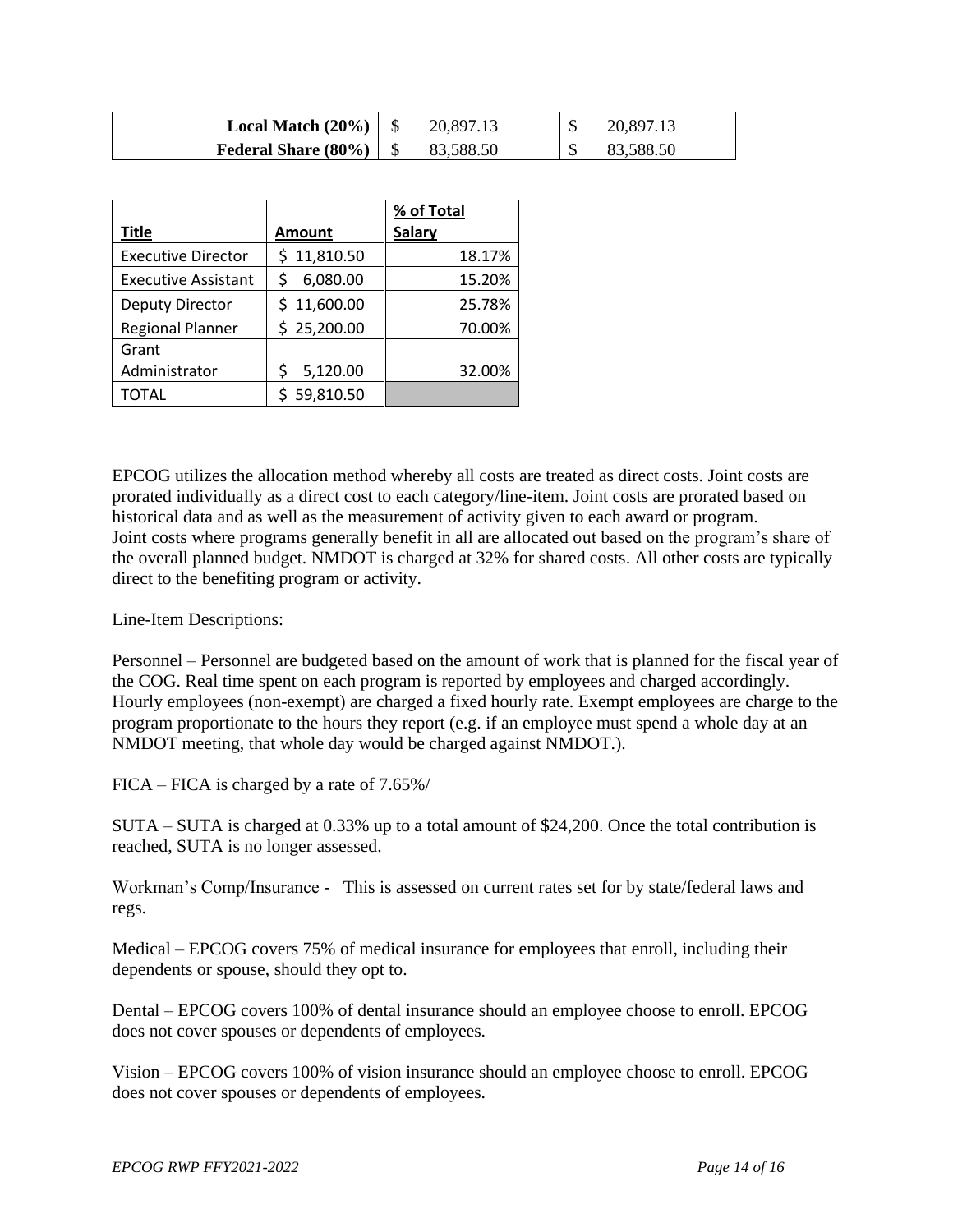| Local Match $(20\%)$ |          | 20,897.13 |
|----------------------|----------|-----------|
| Federal Share (80%)  | 3,588.50 | 83,588.50 |

|                            |               | % of Total    |  |
|----------------------------|---------------|---------------|--|
| Title                      | <b>Amount</b> | <b>Salary</b> |  |
| <b>Executive Director</b>  | \$11,810.50   | 18.17%        |  |
| <b>Executive Assistant</b> | 6,080.00      | 15.20%        |  |
| Deputy Director            | \$11,600.00   | 25.78%        |  |
| <b>Regional Planner</b>    | \$25,200.00   | 70.00%        |  |
| Grant                      |               |               |  |
| Administrator              | 5,120.00      | 32.00%        |  |
| TOTAL                      | 59,810.50     |               |  |

EPCOG utilizes the allocation method whereby all costs are treated as direct costs. Joint costs are prorated individually as a direct cost to each category/line-item. Joint costs are prorated based on historical data and as well as the measurement of activity given to each award or program. Joint costs where programs generally benefit in all are allocated out based on the program's share of the overall planned budget. NMDOT is charged at 32% for shared costs. All other costs are typically direct to the benefiting program or activity.

Line-Item Descriptions:

Personnel – Personnel are budgeted based on the amount of work that is planned for the fiscal year of the COG. Real time spent on each program is reported by employees and charged accordingly. Hourly employees (non-exempt) are charged a fixed hourly rate. Exempt employees are charge to the program proportionate to the hours they report (e.g. if an employee must spend a whole day at an NMDOT meeting, that whole day would be charged against NMDOT.).

FICA – FICA is charged by a rate of 7.65%/

SUTA – SUTA is charged at 0.33% up to a total amount of \$24,200. Once the total contribution is reached, SUTA is no longer assessed.

Workman's Comp/Insurance - This is assessed on current rates set for by state/federal laws and regs.

Medical – EPCOG covers 75% of medical insurance for employees that enroll, including their dependents or spouse, should they opt to.

Dental – EPCOG covers 100% of dental insurance should an employee choose to enroll. EPCOG does not cover spouses or dependents of employees.

Vision – EPCOG covers 100% of vision insurance should an employee choose to enroll. EPCOG does not cover spouses or dependents of employees.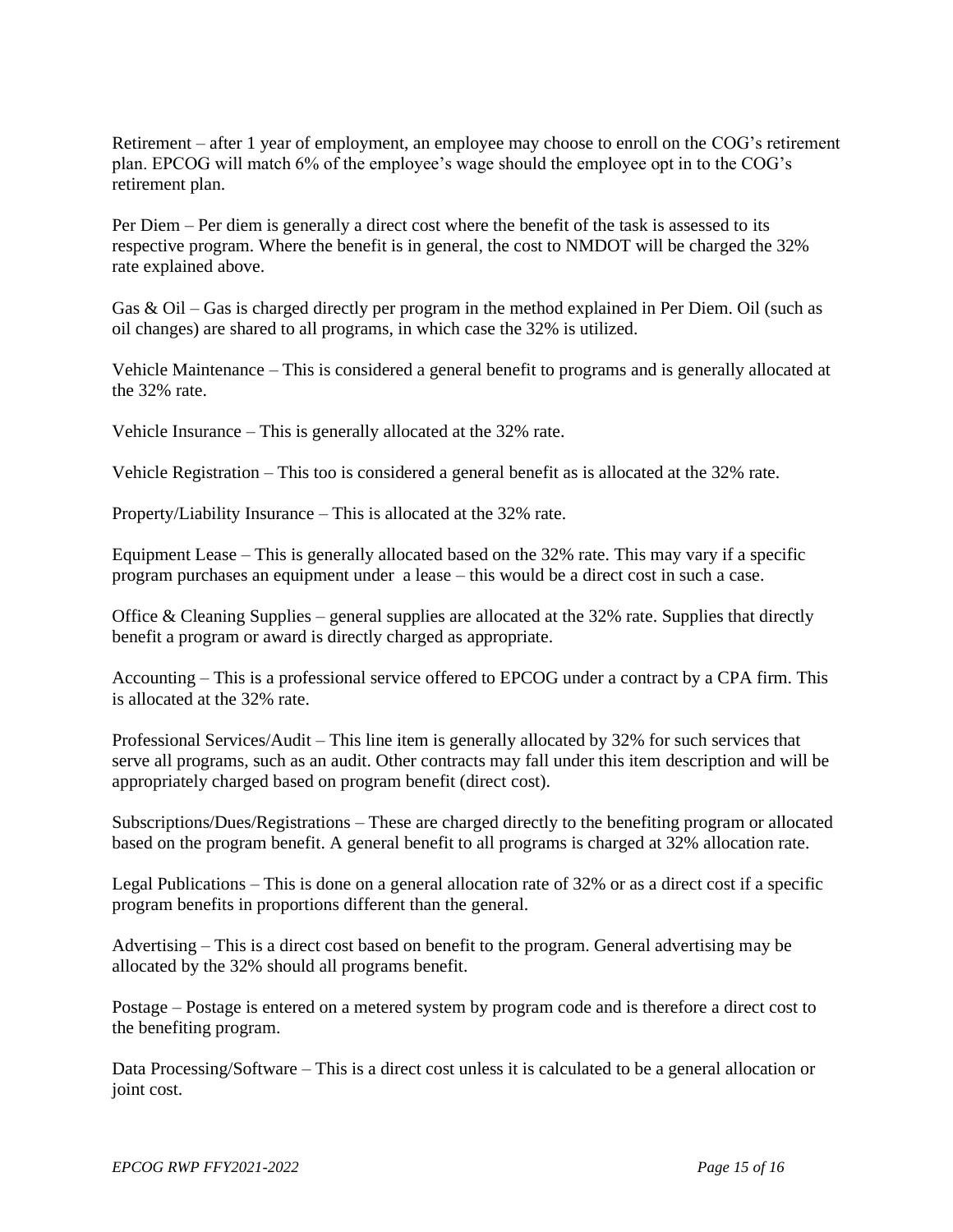Retirement – after 1 year of employment, an employee may choose to enroll on the COG's retirement plan. EPCOG will match 6% of the employee's wage should the employee opt in to the COG's retirement plan.

Per Diem – Per diem is generally a direct cost where the benefit of the task is assessed to its respective program. Where the benefit is in general, the cost to NMDOT will be charged the 32% rate explained above.

Gas & Oil – Gas is charged directly per program in the method explained in Per Diem. Oil (such as oil changes) are shared to all programs, in which case the 32% is utilized.

Vehicle Maintenance – This is considered a general benefit to programs and is generally allocated at the 32% rate.

Vehicle Insurance – This is generally allocated at the 32% rate.

Vehicle Registration – This too is considered a general benefit as is allocated at the 32% rate.

Property/Liability Insurance – This is allocated at the 32% rate.

Equipment Lease – This is generally allocated based on the 32% rate. This may vary if a specific program purchases an equipment under a lease – this would be a direct cost in such a case.

Office & Cleaning Supplies – general supplies are allocated at the  $32\%$  rate. Supplies that directly benefit a program or award is directly charged as appropriate.

Accounting – This is a professional service offered to EPCOG under a contract by a CPA firm. This is allocated at the 32% rate.

Professional Services/Audit – This line item is generally allocated by 32% for such services that serve all programs, such as an audit. Other contracts may fall under this item description and will be appropriately charged based on program benefit (direct cost).

Subscriptions/Dues/Registrations – These are charged directly to the benefiting program or allocated based on the program benefit. A general benefit to all programs is charged at 32% allocation rate.

Legal Publications – This is done on a general allocation rate of 32% or as a direct cost if a specific program benefits in proportions different than the general.

Advertising – This is a direct cost based on benefit to the program. General advertising may be allocated by the 32% should all programs benefit.

Postage – Postage is entered on a metered system by program code and is therefore a direct cost to the benefiting program.

Data Processing/Software – This is a direct cost unless it is calculated to be a general allocation or joint cost.